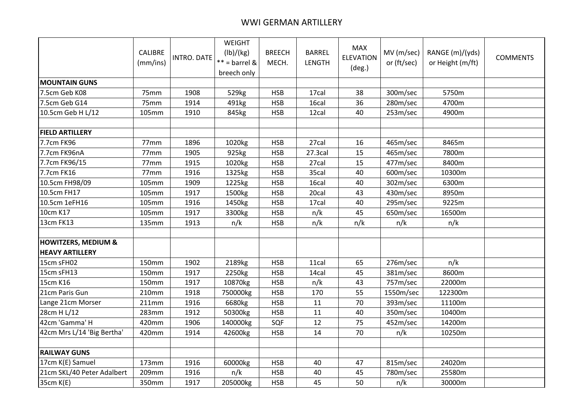## WWI GERMAN ARTILLERY

|                                                          | CALIBRE<br>(mm/ins) | INTRO. DATE | WEIGHT<br>(lb)/(kg)<br>$** =$ barrel &<br>breech only | <b>BREECH</b><br>MECH. | <b>BARREL</b><br><b>LENGTH</b> | <b>MAX</b><br><b>ELEVATION</b><br>(deg.) | MV(m/sec)<br>or (ft/sec) | RANGE (m)/(yds)<br>or Height (m/ft) | <b>COMMENTS</b> |
|----------------------------------------------------------|---------------------|-------------|-------------------------------------------------------|------------------------|--------------------------------|------------------------------------------|--------------------------|-------------------------------------|-----------------|
| <b>MOUNTAIN GUNS</b>                                     |                     |             |                                                       |                        |                                |                                          |                          |                                     |                 |
| 7.5cm Geb K08                                            | 75mm                | 1908        | 529kg                                                 | <b>HSB</b>             | 17cal                          | 38                                       | 300m/sec                 | 5750m                               |                 |
| 7.5cm Geb G14                                            | 75mm                | 1914        | 491kg                                                 | <b>HSB</b>             | 16cal                          | 36                                       | 280m/sec                 | 4700m                               |                 |
| 10.5cm Geb H L/12                                        | 105mm               | 1910        | 845kg                                                 | <b>HSB</b>             | 12cal                          | 40                                       | 253m/sec                 | 4900m                               |                 |
| <b>FIELD ARTILLERY</b>                                   |                     |             |                                                       |                        |                                |                                          |                          |                                     |                 |
| 7.7cm FK96                                               | 77mm                | 1896        | 1020kg                                                | <b>HSB</b>             | 27cal                          | 16                                       | 465m/sec                 | 8465m                               |                 |
| 7.7cm FK96nA                                             | 77mm                | 1905        | 925kg                                                 | <b>HSB</b>             | 27.3cal                        | 15                                       | 465m/sec                 | 7800m                               |                 |
| 7.7cm FK96/15                                            | 77mm                | 1915        | 1020kg                                                | <b>HSB</b>             | 27cal                          | 15                                       | 477m/sec                 | 8400m                               |                 |
| 7.7cm FK16                                               | 77mm                | 1916        | 1325kg                                                | <b>HSB</b>             | 35cal                          | 40                                       | 600m/sec                 | 10300m                              |                 |
| 10.5cm FH98/09                                           | 105mm               | 1909        | 1225kg                                                | <b>HSB</b>             | 16cal                          | 40                                       | 302m/sec                 | 6300m                               |                 |
| 10.5cm FH17                                              | 105mm               | 1917        | 1500kg                                                | <b>HSB</b>             | 20cal                          | 43                                       | 430m/sec                 | 8950m                               |                 |
| 10.5cm 1eFH16                                            | 105mm               | 1916        | 1450kg                                                | <b>HSB</b>             | 17cal                          | 40                                       | 295m/sec                 | 9225m                               |                 |
| 10cm K17                                                 | 105mm               | 1917        | 3300kg                                                | <b>HSB</b>             | n/k                            | 45                                       | 650m/sec                 | 16500m                              |                 |
| 13cm FK13                                                | 135mm               | 1913        | n/k                                                   | <b>HSB</b>             | n/k                            | n/k                                      | n/k                      | n/k                                 |                 |
| <b>HOWITZERS, MEDIUM &amp;</b><br><b>HEAVY ARTILLERY</b> |                     |             |                                                       |                        |                                |                                          |                          |                                     |                 |
| 15cm sFH02                                               | 150mm               | 1902        | 2189kg                                                | <b>HSB</b>             | 11cal                          | 65                                       | 276m/sec                 | n/k                                 |                 |
| 15cm sFH13                                               | 150mm               | 1917        | 2250kg                                                | <b>HSB</b>             | 14cal                          | 45                                       | 381m/sec                 | 8600m                               |                 |
| 15cm K16                                                 | 150mm               | 1917        | 10870kg                                               | <b>HSB</b>             | n/k                            | 43                                       | 757m/sec                 | 22000m                              |                 |
| 21cm Paris Gun                                           | 210mm               | 1918        | 750000kg                                              | <b>HSB</b>             | 170                            | 55                                       | 1550m/sec                | 122300m                             |                 |
| Lange 21cm Morser                                        | 211mm               | 1916        | 6680kg                                                | <b>HSB</b>             | 11                             | 70                                       | 393m/sec                 | 11100m                              |                 |
| 28cm H L/12                                              | 283mm               | 1912        | 50300kg                                               | <b>HSB</b>             | 11                             | 40                                       | 350m/sec                 | 10400m                              |                 |
| 42cm 'Gamma' H                                           | 420mm               | 1906        | 140000kg                                              | SQF                    | 12                             | 75                                       | 452m/sec                 | 14200m                              |                 |
| 42cm Mrs L/14 'Big Bertha'                               | 420mm               | 1914        | 42600kg                                               | <b>HSB</b>             | 14                             | 70                                       | n/k                      | 10250m                              |                 |
|                                                          |                     |             |                                                       |                        |                                |                                          |                          |                                     |                 |
| <b>RAILWAY GUNS</b>                                      |                     |             |                                                       |                        |                                |                                          |                          |                                     |                 |
| 17cm K(E) Samuel                                         | 173mm               | 1916        | 60000kg                                               | <b>HSB</b>             | 40                             | 47                                       | 815m/sec                 | 24020m                              |                 |
| 21cm SKL/40 Peter Adalbert                               | 209mm               | 1916        | n/k                                                   | <b>HSB</b>             | 40                             | 45                                       | 780m/sec                 | 25580m                              |                 |
| 35cm K(E)                                                | 350mm               | 1917        | 205000kg                                              | <b>HSB</b>             | 45                             | 50                                       | n/k                      | 30000m                              |                 |